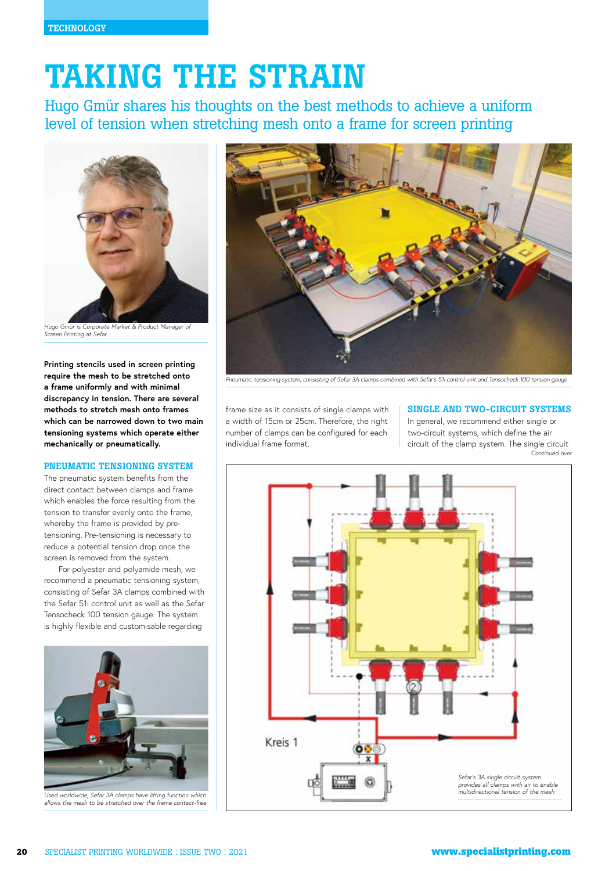# TAKING THE STRAIN

Hugo Gmür shares his thoughts on the best methods to achieve a uniform level of tension when stretching mesh onto a frame for screen printing



*Hugo Gmür is Corporate Market & Product Manager of Screen Printing at Sefar*

**Printing stencils used in screen printing require the mesh to be stretched onto a frame uniformly and with minimal discrepancy in tension. There are several methods to stretch mesh onto frames which can be narrowed down to two main tensioning systems which operate either mechanically or pneumatically.** 

#### PNEUMATIC TENSIONING SYSTEM

The pneumatic system benefits from the direct contact between clamps and frame which enables the force resulting from the tension to transfer evenly onto the frame, whereby the frame is provided by pretensioning. Pre-tensioning is necessary to reduce a potential tension drop once the screen is removed from the system.

For polyester and polyamide mesh, we recommend a pneumatic tensioning system, consisting of Sefar 3A clamps combined with the Sefar 51i control unit as well as the Sefar Tensocheck 100 tension gauge. The system is highly flexible and customisable regarding



*Used worldwide, Sefar 3A clamps have lifting function which allows the mesh to be stretched over the frame contact-free*



*Pneumatic tensioning system, consisting of Sefar 3A clamps combined with Sefar's 51i control unit and Tensocheck 100 tension gauge*

frame size as it consists of single clamps with a width of 15cm or 25cm. Therefore, the right number of clamps can be configured for each individual frame format.

## SINGLE AND TWO-CIRCUIT SYSTEMS

In general, we recommend either single or two-circuit systems, which define the air circuit of the clamp system. The single circuit *Continued over*